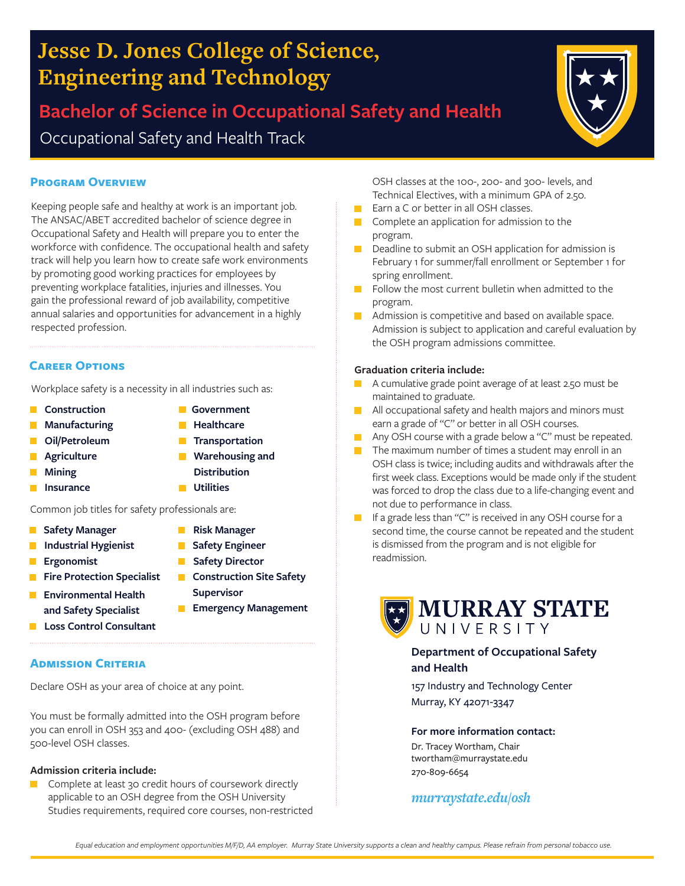# **Jesse D. Jones College of Science, Engineering and Technology**

**Bachelor of Science in Occupational Safety and Health** Occupational Safety and Health Track

#### **Program Overview**

Keeping people safe and healthy at work is an important job. The ANSAC/ABET accredited bachelor of science degree in Occupational Safety and Health will prepare you to enter the workforce with confidence. The occupational health and safety track will help you learn how to create safe work environments by promoting good working practices for employees by preventing workplace fatalities, injuries and illnesses. You gain the professional reward of job availability, competitive annual salaries and opportunities for advancement in a highly respected profession.

#### **Career Options**

Workplace safety is a necessity in all industries such as:

- **Construction**
- **Manufacturing**
- $\mathcal{L}_{\mathcal{A}}$ **Oil/Petroleum**
- **Agriculture**  $\Box$
- П **Mining**
- **Insurance**
- Common job titles for safety professionals are:  **Risk Manager**

**Supervisor**

**Safety Engineer Safety Director Construction Site Safety** 

**Emergency Management** 

**Government Healthcare Transportation** 

- **Safety Manager**  $\Box$
- **Industrial Hygienist**
- **Ergonomist** п
- $\mathcal{L}_{\mathcal{A}}$ **Fire Protection Specialist**
- **Environmental Health and Safety Specialist**
- **Loss Control Consultant**

#### **ADMISSION CRITERIA**

Declare OSH as your area of choice at any point.

You must be formally admitted into the OSH program before you can enroll in OSH 353 and 400- (excluding OSH 488) and 500-level OSH classes.

#### **Admission criteria include:**

Complete at least 30 credit hours of coursework directly п applicable to an OSH degree from the OSH University Studies requirements, required core courses, non-restricted

- OSH classes at the 100-, 200- and 300- levels, and Technical Electives, with a minimum GPA of 2.50.
- Earn a C or better in all OSH classes.  $\mathcal{L}(\mathcal{A})$
- $\Box$  Complete an application for admission to the program.
- Deadline to submit an OSH application for admission is February 1 for summer/fall enrollment or September 1 for spring enrollment.
- $\blacksquare$  Follow the most current bulletin when admitted to the program.
- **Admission is competitive and based on available space.** Admission is subject to application and careful evaluation by the OSH program admissions committee.

#### **Graduation criteria include:**

- A cumulative grade point average of at least 2.50 must be maintained to graduate.
- **All occupational safety and health majors and minors must** earn a grade of "C" or better in all OSH courses.
- Any OSH course with a grade below a "C" must be repeated.
- $\blacksquare$  The maximum number of times a student may enroll in an OSH class is twice; including audits and withdrawals after the first week class. Exceptions would be made only if the student was forced to drop the class due to a life-changing event and not due to performance in class.
- **If a grade less than "C" is received in any OSH course for a** second time, the course cannot be repeated and the student is dismissed from the program and is not eligible for readmission.



#### **Department of Occupational Safety and Health**

157 Industry and Technology Center Murray, KY 42071-3347

#### **For more information contact:**

Dr. Tracey Wortham, Chair twortham@murraystate.edu 270-809-6654

#### *murraystate.edu/osh*



 $\mathcal{L}_{\mathcal{A}}$  $\mathcal{L}_{\mathcal{A}}$